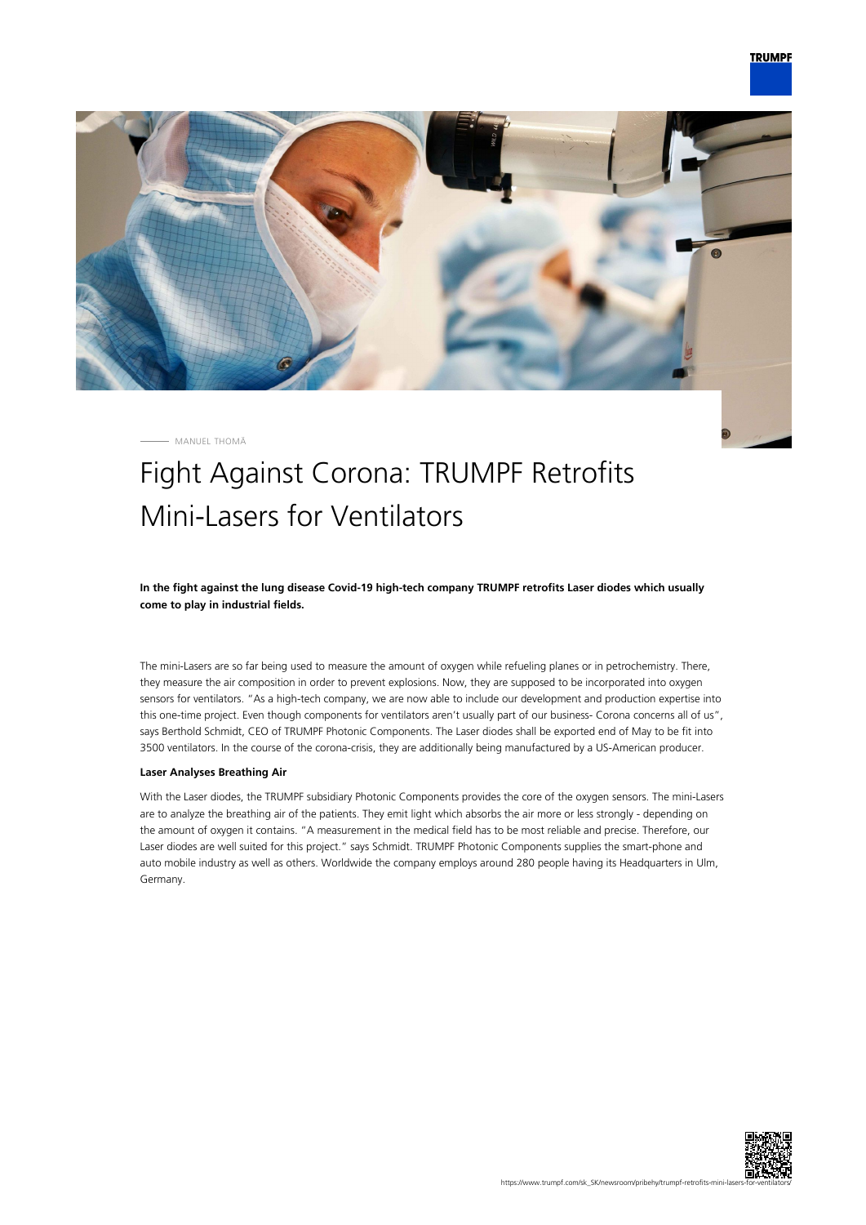

MANUEL THOMÄ

## Fight Against Corona: TRUMPF Retrofits Mini-Lasers for Ventilators

**In the fight against the lung disease Covid-19 high-tech company TRUMPF retrofits Laser diodes which usually come to play in industrial fields.**

The mini-Lasers are so far being used to measure the amount of oxygen while refueling planes or in petrochemistry. There, they measure the air composition in order to prevent explosions. Now, they are supposed to be incorporated into oxygen sensors for ventilators. "As a high-tech company, we are now able to include our development and production expertise into this one-time project. Even though components for ventilators aren't usually part of our business- Corona concerns all of us", says Berthold Schmidt, CEO of TRUMPF Photonic Components. The Laser diodes shall be exported end of May to be fit into 3500 ventilators. In the course of the corona-crisis, they are additionally being manufactured by a US-American producer.

## **Laser Analyses Breathing Air**

With the Laser diodes, the TRUMPF subsidiary Photonic Components provides the core of the oxygen sensors. The mini-Lasers are to analyze the breathing air of the patients. They emit light which absorbs the air more or less strongly - depending on the amount of oxygen it contains. "A measurement in the medical field has to be most reliable and precise. Therefore, our Laser diodes are well suited for this project." says Schmidt. TRUMPF Photonic Components supplies the smart-phone and auto mobile industry as well as others. Worldwide the company employs around 280 people having its Headquarters in Ulm, Germany.